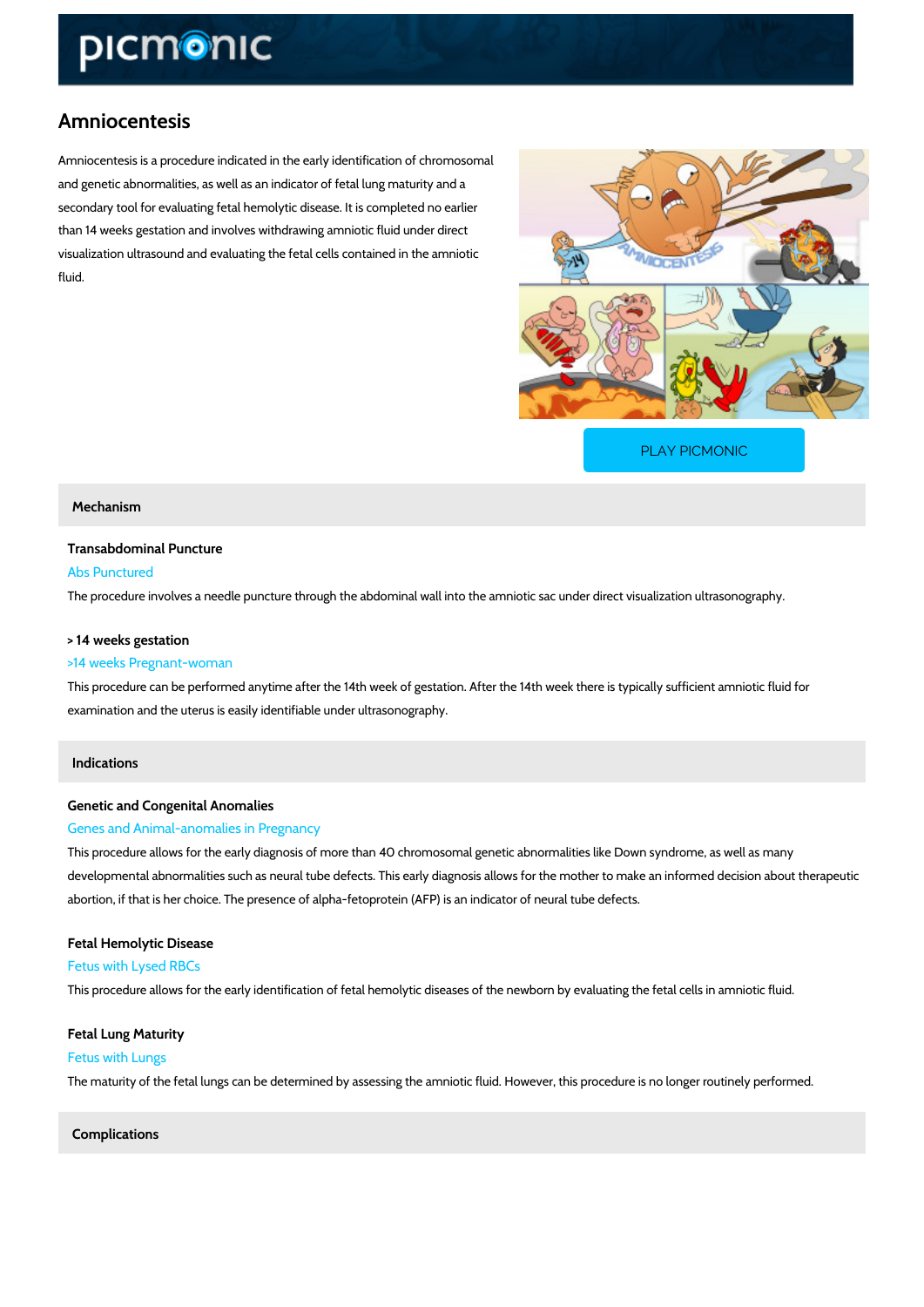# Amniocentesis

Amniocentesis is a procedure indicated in the early identification of chromosomal and genetic abnormalities, as well as an indicator of fetal lung maturity and a secondary tool for evaluating fetal hemolytic disease. It is completed no earlier than 14 weeks gestation and involves withdrawing amniotic fluid under direct visualization ultrasound and evaluating the fetal cells contained in the amniotic fluid.

[PLAY PICMONIC](https://www.picmonic.com/learn/amniocentesis_1990?utm_source=downloadable_content&utm_medium=distributedcontent&utm_campaign=pathways_pdf&utm_content=Amniocentesis&utm_ad_group=leads&utm_market=all)

#### Mechanism

Transabdominal Puncture Abs Punctured The procedure involves a needle puncture through the abdominal wall into the amniotic sac un

### > 14 weeks gestation

#### >14 weeks Pregnant-woman

This procedure can be performed anytime after the 14th week of gestation. After the 14th wee examination and the uterus is easily identifiable under ultrasonography.

#### Indications

# Genetic and Congenital Anomalies Genes and Animal-anomalies in Pregnancy

This procedure allows for the early diagnosis of more than 40 chromosomal genetic abnormality developmental abnormalities such as neural tube defects. This early diagnosis allows for the abortion, if that is her choice. The presence of alpha-fetoprotein (AFP) is an indicator of neu

Fetal Hemolytic Disease Fetus with Lysed RBCs This procedure allows for the early identification of fetal hemolytic diseases of the newborn b

Fetal Lung Maturity Fetus with Lungs The maturity of the fetal lungs can be determined by assessing the amniotic fluid. However, the

Complications